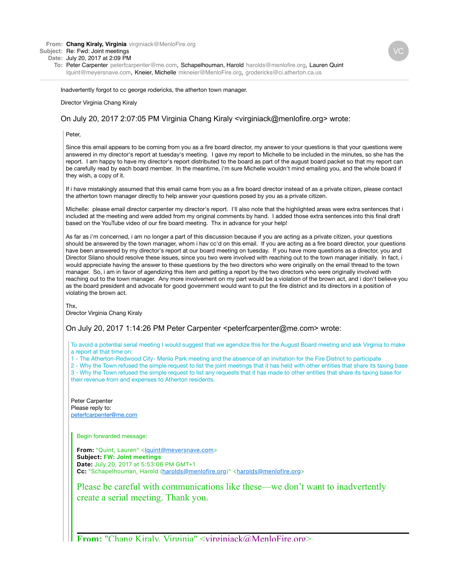**From: Chang Kiraly, Virginia** virginiack@MenloFire.org

## **Subject:** Re: Fwd: Joint meetings

**Date:** July 20, 2017 at 2:09 PM

**To:** Peter Carpenter peterfcarpenter@me.com, Schapelhouman, Harold harolds@menlofire.org, Lauren Quint lquint@meyersnave.com, Kneier, Michelle mkneier@MenloFire.org, grodericks@ci.atherton.ca.us

Inadvertently forgot to cc george rodericks, the atherton town manager.

## Director Virginia Chang Kiraly

## On July 20, 2017 2:07:05 PM Virginia Chang Kiraly <virginiack@menlofire.org> wrote:

Peter

Since this email appears to be coming from you as a fire board director, my answer to your questions is that your questions were answered in my director's report at tuesday's meeting. I gave my report to Michelle to be included in the minutes, so she has the report. I am happy to have my director's report distributed to the board as part of the august board packet so that my report can be carefully read by each board member. In the meantime, i'm sure Michelle wouldn't mind emailing you, and the whole board if they wish, a copy of it.

If i have mistakingly assumed that this email came from you as a fire board director instead of as a private citizen, please contact the atherton town manager directly to help answer your questions posed by you as a private citizen.

Michelle: please email director carpenter my director's report. I'll also note that the highlighted areas were extra sentences that i included at the meeting and were added from my original comments by hand. I added those extra sentences into this final draft based on the YouTube video of our fire board meeting. Thx in advance for your help!

As far as i'm concerned, i am no longer a part of this discussion because if you are acting as a private citizen, your questions should be answered by the town manager, whom i hav cc'd on this email. If you are acting as a fire board director, your questions have been answered by my director's report at our board meeting on tuesday. If you have more questions as a director, you and Director Silano should resolve these issues, since you two were involved with reaching out to the town manager initially. In fact, i would appreciate having the answer to these questions by the two directors who were originally on the email thread to the town manager. So, i am in favor of agendizing this item and getting a report by the two directors who were originally involved with reaching out to the town manager. Any more involvement on my part would be a violation of the brown act, and i don't believe you as the board president and advocate for good government would want to put the fire district and its directors in a position of violating the brown act.

Thx,

Director Virginia Chang Kiraly

On July 20, 2017 1:14:26 PM Peter Carpenter <peterfcarpenter@me.com> wrote:

To avoid a potential serial meeting I would suggest that we agendize this for the August Board meeting and ask Virginia to make a report at that time on:

1 - The Atherton-Redwood City- Menlo Park meeting and the absence of an invitation for the Fire District to participate

2 - Why the Town refused the simple request to list the joint meetings that it has held with other entities that share its taxing base

3 - Why the Town refused the simple request to list any requests that it has made to other entities that share its taxing base for their revenue from and expenses to Atherton residents.

Peter Carpenter Please reply to: peterfcarpenter@me.com

Begin forwarded message:

From: "Quint, Lauren" <lguint@meyersnave.com> **Subject: FW: Joint meetings Date:** July 20, 2017 at 5?53?06 PM GMT+1 Cc: "Schapelhouman, Harold (harolds@menlofire.org)" <harolds@menlofire.org>

Please be careful with communications like these—we don't want to inadvertently create a serial meeting. Thank you.

**From:** "Chang Kiraly, Virginia" <virginiack@MenloFire.org>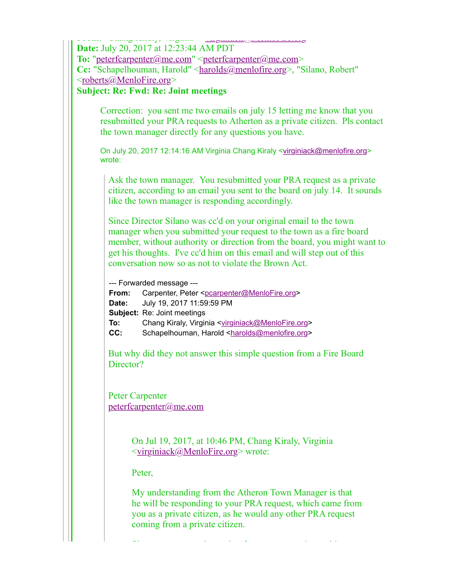| <b>Date:</b> July 20, 2017 at 12:23:44 AM PDT<br>To: "peterfcarpenter@me.com" <peterfcarpenter@me.com><br/>Cc: "Schapelhouman, Harold" <harolds@menlofire.org>, "Silano, Robert"<br/><roberts@menlofire.org><br/><b>Subject: Re: Fwd: Re: Joint meetings</b></roberts@menlofire.org></harolds@menlofire.org></peterfcarpenter@me.com>                           |
|-----------------------------------------------------------------------------------------------------------------------------------------------------------------------------------------------------------------------------------------------------------------------------------------------------------------------------------------------------------------|
| Correction: you sent me two emails on july 15 letting me know that you<br>resubmitted your PRA requests to Atherton as a private citizen. Pls contact<br>the town manager directly for any questions you have.                                                                                                                                                  |
| On July 20, 2017 12:14:16 AM Virginia Chang Kiraly <virginiack@menlofire.org><br/>wrote:</virginiack@menlofire.org>                                                                                                                                                                                                                                             |
| Ask the town manager. You resubmitted your PRA request as a private<br>citizen, according to an email you sent to the board on july 14. It sounds<br>like the town manager is responding accordingly.                                                                                                                                                           |
| Since Director Silano was cc'd on your original email to the town<br>manager when you submitted your request to the town as a fire board<br>member, without authority or direction from the board, you might want to<br>get his thoughts. I've cc'd him on this email and will step out of this<br>conversation now so as not to violate the Brown Act.         |
| --- Forwarded message ---<br>From:<br>Carpenter, Peter <pcarpenter@menlofire.org><br/>July 19, 2017 11:59:59 PM<br/>Date:<br/>Subject: Re: Joint meetings<br/>Chang Kiraly, Virginia <virginiack@menlofire.org><br/>To:<br/>CC:<br/>Schapelhouman, Harold <harolds@menlofire.org></harolds@menlofire.org></virginiack@menlofire.org></pcarpenter@menlofire.org> |
| But why did they not answer this simple question from a Fire Board<br>Director?                                                                                                                                                                                                                                                                                 |
| <b>Peter Carpenter</b><br>peterfcarpenter@me.com                                                                                                                                                                                                                                                                                                                |
| On Jul 19, 2017, at 10:46 PM, Chang Kiraly, Virginia<br><virginiack@menlofire.org> wrote:</virginiack@menlofire.org>                                                                                                                                                                                                                                            |
| Peter,                                                                                                                                                                                                                                                                                                                                                          |
| My understanding from the Atheron Town Manager is that<br>he will be responding to your PRA request, which came from<br>you as a private citizen, as he would any other PRA request<br>coming from a private citizen.                                                                                                                                           |
|                                                                                                                                                                                                                                                                                                                                                                 |

Since your request is coming from you as a private citizen,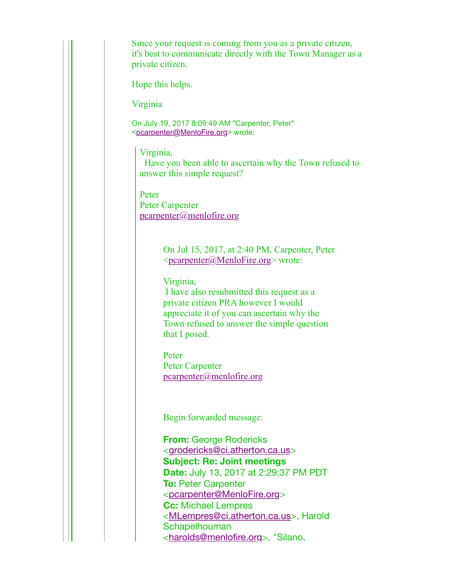Since your request is coming from you as a private citizen, it's best to communicate directly with the Town Manager as a private citizen.

Hope this helps.

Virginia

On July 19, 2017 8:09:49 AM "Carpenter, Peter" <pcarpenter@MenloFire.org> wrote:

Virginia,

 Have you been able to ascertain why the Town refused to answer this simple request?

Peter Peter Carpenter pcarpenter@menlofire.org

> On Jul 15, 2017, at 2:40 PM, Carpenter, Peter  $\leq$ <u>pcarpenter</u> $\omega$ MenloFire.org> wrote:

Virginia,

 I have also resubmitted this request as a private citizen PRA however I would appreciate it of you can ascertain why the Town refused to answer the simple question that I posed.

Peter Peter Carpenter pcarpenter@menlofire.org

Begin forwarded message:

**From:** George Rodericks <grodericks@ci.atherton.ca.us> **Subject: Re: Joint meetings Date:** July 13, 2017 at 2:29:37 PM PDT **To:** Peter Carpenter <pcarpenter@MenloFire.org> **Cc:** Michael Lempres <MLempres@ci.atherton.ca.us>, Harold **Schapelhouman** <harolds@menlofire.org>, "Silano,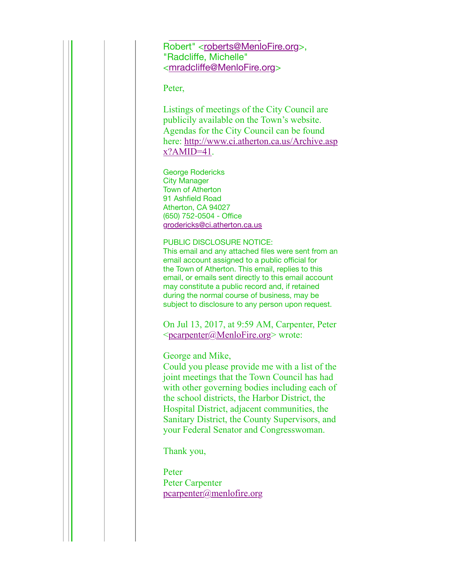Robert" <roberts@MenloFire.org>, "Radcliffe, Michelle" <mradcliffe@MenloFire.org>

. <u>Alexander Silano, "Silano, "Silano, "Silano, "Silano, "Silano, "Silano, "Silano, "Silano, "Silano, "Silano, "Si</u>

Peter,

Listings of meetings of the City Council are publicily available on the Town's website. Agendas for the City Council can be found here: http://www.ci.atherton.ca.us/Archive.asp  $x?$ AMID=41.

George Rodericks City Manager Town of Atherton 91 Ashfield Road Atherton, CA 94027 (650) 752-0504 - Office grodericks@ci.atherton.ca.us

PUBLIC DISCLOSURE NOTICE:

This email and any attached files were sent from an email account assigned to a public official for the Town of Atherton. This email, replies to this email, or emails sent directly to this email account may constitute a public record and, if retained during the normal course of business, may be subject to disclosure to any person upon request.

On Jul 13, 2017, at 9:59 AM, Carpenter, Peter <pcarpenter@MenloFire.org> wrote:

George and Mike,

Could you please provide me with a list of the joint meetings that the Town Council has had with other governing bodies including each of the school districts, the Harbor District, the Hospital District, adjacent communities, the Sanitary District, the County Supervisors, and your Federal Senator and Congresswoman.

Thank you,

Peter Peter Carpenter pcarpenter@menlofire.org